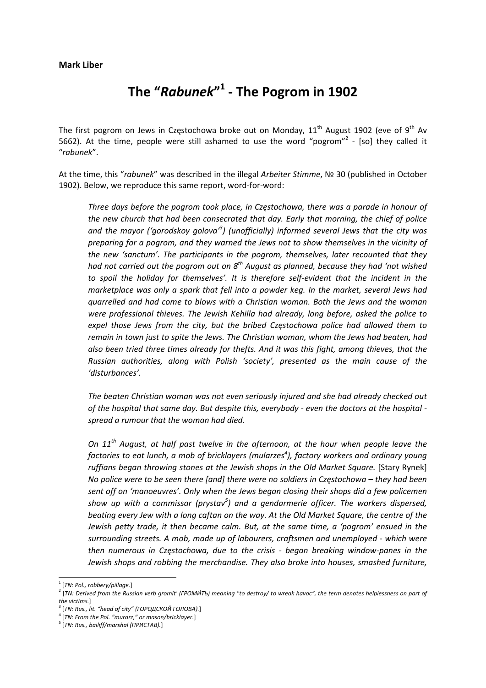## **The "***Rabunek***" 1 ‐ The Pogrom in 1902**

The first pogrom on Jews in Czestochowa broke out on Monday,  $11<sup>th</sup>$  August 1902 (eve of 9<sup>th</sup> Av 5662). At the time, people were still ashamed to use the word "pogrom"<sup>2</sup> - [so] they called it "*rabunek*".

At the time, this "*rabunek*" was described in the illegal *Arbeiter Stimme*, № 30 (published in October 1902). Below, we reproduce this same report, word‐for‐word:

*Three days before the pogrom took place, in Częstochowa, there was a parade in honour of the new church that had been consecrated that day. Early that morning, the chief of police and the mayor ('gorodskoy golova'<sup>3</sup> ) (unofficially) informed several Jews that the city was preparing for a pogrom, and they warned the Jews not to show themselves in the vicinity of the new 'sanctum'. The participants in the pogrom, themselves, later recounted that they had not carried out the pogrom out on 8th August as planned, because they had 'not wished to spoil the holiday for themselves'. It is therefore self‐evident that the incident in the marketplace was only a spark that fell into a powder keg. In the market, several Jews had quarrelled and had come to blows with a Christian woman. Both the Jews and the woman were professional thieves. The Jewish Kehilla had already, long before, asked the police to expel those Jews from the city, but the bribed Częstochowa police had allowed them to remain in town just to spite the Jews. The Christian woman, whom the Jews had beaten, had also been tried three times already for thefts. And it was this fight, among thieves, that the Russian authorities, along with Polish 'society', presented as the main cause of the 'disturbances'.*

*The beaten Christian woman was not even seriously injured and she had already checked out of the hospital that same day. But despite this, everybody ‐ even the doctors at the hospital ‐ spread a rumour that the woman had died.*

*On 11th August, at half past twelve in the afternoon, at the hour when people leave the factories to eat lunch, a mob of bricklayers (mularzes<sup>4</sup> ), factory workers and ordinary young ruffians began throwing stones at the Jewish shops in the Old Market Square.* [Stary Rynek] No police were to be seen there [and] there were no soldiers in Częstochowa - they had been *sent off on 'manoeuvres'. Only when the Jews began closing their shops did a few policemen show up with a commissar (prystav<sup>5</sup> ) and a gendarmerie officer. The workers dispersed,* beating every Jew with a long caftan on the way. At the Old Market Square, the centre of the *Jewish petty trade, it then became calm. But, at the same time, a 'pogrom' ensued in the surrounding streets. A mob, made up of labourers, craftsmen and unemployed ‐ which were then numerous in Częstochowa, due to the crisis ‐ began breaking window‐panes in the Jewish shops and robbing the merchandise. They also broke into houses, smashed furniture,*

 <sup>1</sup> [*TN: Pol., robbery/pillage.*]

<sup>&</sup>lt;sup>2</sup> [TN: Derived from the Russian verb gromit' (ГРОМИ́ТЬ) meaning "to destroy/ to wreak havoc", the term denotes helplessness on part of *the victims.*] <sup>3</sup> [*TN: Rus., lit. "head of city" (ГОРОДСКОЙ ГОЛОВА).*]

<sup>4</sup> [*TN: From the Pol. "murarz," or mason/bricklayer.*]

<sup>5</sup> [*TN: Rus., bailiff/marshal (ПРИСТАВ).*]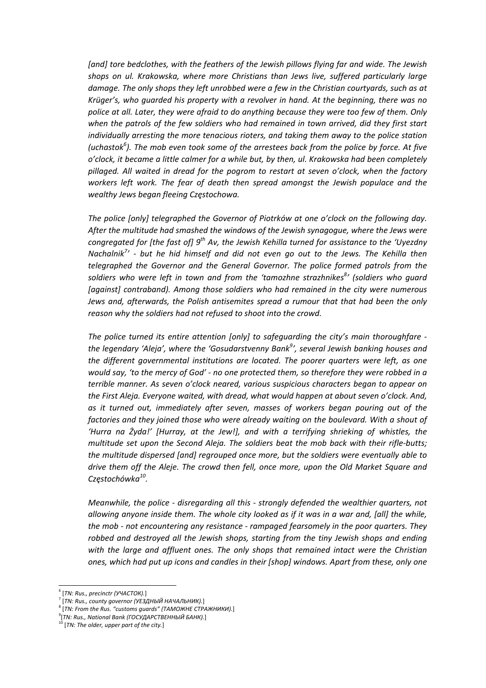*[and] tore bedclothes, with the feathers of the Jewish pillows flying far and wide. The Jewish shops on ul. Krakowska, where more Christians than Jews live, suffered particularly large damage. The only shops they left unrobbed were a few in the Christian courtyards, such as at Krüger's, who guarded his property with a revolver in hand. At the beginning, there was no police at all. Later, they were afraid to do anything because they were too few of them. Only when the patrols of the few soldiers who had remained in town arrived, did they first start individually arresting the more tenacious rioters, and taking them away to the police station* (uchastok $^6$ ). The mob even took some of the arrestees back from the police by force. At five *o'clock, it became a little calmer for a while but, by then, ul. Krakowska had been completely pillaged. All waited in dread for the pogrom to restart at seven o'clock, when the factory workers left work. The fear of death then spread amongst the Jewish populace and the wealthy Jews began fleeing Częstochowa.* 

*The police [only] telegraphed the Governor of Piotrków at one o'clock on the following day. After the multitude had smashed the windows of the Jewish synagogue, where the Jews were congregated for [the fast of] 9th Av, the Jewish Kehilla turned for assistance to the 'Uyezdny* Nachalnik<sup>7</sup>' - but he hid himself and did not even go out to the Jews. The Kehilla then *telegraphed the Governor and the General Governor. The police formed patrols from the soldiers who were left in town and from the 'tamozhne strazhnikes<sup>8</sup> ' (soldiers who guard [against] contraband). Among those soldiers who had remained in the city were numerous Jews and, afterwards, the Polish antisemites spread a rumour that that had been the only reason why the soldiers had not refused to shoot into the crowd.*

*The police turned its entire attention [only] to safeguarding the city's main thoroughfare ‐ the legendary 'Aleja', where the 'Gosudarstvenny Bank<sup>9</sup> ', several Jewish banking houses and the different governmental institutions are located. The poorer quarters were left, as one* would say, 'to the mercy of God' - no one protected them, so therefore they were robbed in a *terrible manner. As seven o'clock neared, various suspicious characters began to appear on the First Aleja. Everyone waited, with dread, what would happen at about seven o'clock. And, as it turned out, immediately after seven, masses of workers began pouring out of the factories and they joined those who were already waiting on the boulevard. With a shout of 'Hurra na Żyda!' [Hurray, at the Jew!], and with a terrifying shrieking of whistles, the multitude set upon the Second Aleja. The soldiers beat the mob back with their rifle‐butts; the multitude dispersed [and] regrouped once more, but the soldiers were eventually able to drive them off the Aleje. The crowd then fell, once more, upon the Old Market Square and Częstochówka10.*

*Meanwhile, the police ‐ disregarding all this ‐ strongly defended the wealthier quarters, not* allowing anyone inside them. The whole city looked as if it was in a war and, [all] the while, *the mob ‐ not encountering any resistance ‐ rampaged fearsomely in the poor quarters. They robbed and destroyed all the Jewish shops, starting from the tiny Jewish shops and ending with the large and affluent ones. The only shops that remained intact were the Christian ones, which had put up icons and candles in their [shop] windows. Apart from these, only one*

 <sup>6</sup> [*TN: Rus., precinctr (УЧАСТОК).*]

<sup>7</sup> [*TN: Rus., county governor (УЕЗДНЫЙ НАЧАЛЬНИК).*] <sup>8</sup> [*TN: From the Rus. "customs guards" (ТАМОЖНЕ СТРАЖНИКИ).*]

<sup>9</sup> [*TN: Rus., National Bank (ГОСУДАРСТВЕННЫЙ БАНК).*]

<sup>10</sup> [*TN: The older, upper part of the city.*]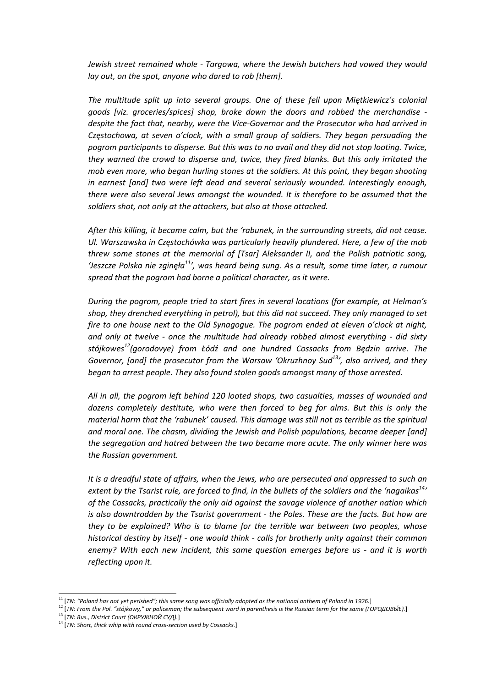*Jewish street remained whole ‐ Targowa, where the Jewish butchers had vowed they would lay out, on the spot, anyone who dared to rob [them].* 

*The multitude split up into several groups. One of these fell upon Miętkiewicz's colonial goods [viz. groceries/spices] shop, broke down the doors and robbed the merchandise ‐ despite the fact that, nearby, were the Vice‐Governor and the Prosecutor who had arrived in Częstochowa, at seven o'clock, with a small group of soldiers. They began persuading the pogrom participants to disperse. But this was to no avail and they did not stop looting. Twice, they warned the crowd to disperse and, twice, they fired blanks. But this only irritated the mob even more, who began hurling stones at the soldiers. At this point, they began shooting in earnest [and] two were left dead and several seriously wounded. Interestingly enough, there were also several Jews amongst the wounded. It is therefore to be assumed that the soldiers shot, not only at the attackers, but also at those attacked.* 

*After this killing, it became calm, but the 'rabunek, in the surrounding streets, did not cease. Ul. Warszawska in Częstochówka was particularly heavily plundered. Here, a few of the mob threw some stones at the memorial of [Tsar] Aleksander II, and the Polish patriotic song,* 'Jeszcze Polska nie zginęła<sup>11</sup>', was heard being sung. As a result, some time later, a rumour *spread that the pogrom had borne a political character, as it were.* 

*During the pogrom, people tried to start fires in several locations (for example, at Helman's shop, they drenched everything in petrol), but this did not succeed. They only managed to set fire to one house next to the Old Synagogue. The pogrom ended at eleven o'clock at night, and only at twelve ‐ once the multitude had already robbed almost everything ‐ did sixty stójkowes12(gorodovye) from Łódź and one hundred Cossacks from Będzin arrive. The Governor, [and] the prosecutor from the Warsaw 'Okruzhnoy Sud13', also arrived, and they began to arrest people. They also found stolen goods amongst many of those arrested.*

*All in all, the pogrom left behind 120 looted shops, two casualties, masses of wounded and dozens completely destitute, who were then forced to beg for alms. But this is only the material harm that the 'rabunek' caused. This damage was still not as terrible as the spiritual and moral one. The chasm, dividing the Jewish and Polish populations, became deeper [and] the segregation and hatred between the two became more acute. The only winner here was the Russian government.*

*It is a dreadful state of affairs, when the Jews, who are persecuted and oppressed to such an* extent by the Tsarist rule, are forced to find, in the bullets of the soldiers and the 'nagaikas<sup>14</sup>' *of the Cossacks, practically the only aid against the savage violence of another nation which is also downtrodden by the Tsarist government ‐ the Poles. These are the facts. But how are they to be explained? Who is to blame for the terrible war between two peoples, whose historical destiny by itself ‐ one would think ‐ calls for brotherly unity against their common enemy? With each new incident, this same question emerges before us ‐ and it is worth reflecting upon it.*

<sup>&</sup>lt;sup>11</sup> [TN: "Poland has not yet perished"; this same song was officially adopted as the national anthem of Poland in 1926.]<br><sup>12</sup> [TN: From the Pol. "stójkowy," or policeman; the subsequent word in parenthesis is the Russian

<sup>13</sup> [*TN: Rus., District Court (ОКРУЖНОЙ СУД).*]

<sup>14</sup> [*TN: Short, thick whip with round cross‐section used by Cossacks.*]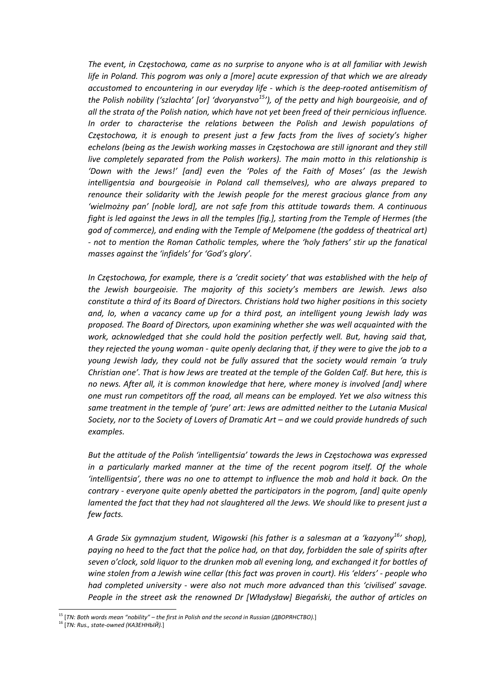*The event, in Częstochowa, came as no surprise to anyone who is at all familiar with Jewish life in Poland. This pogrom was only a [more] acute expression of that which we are already accustomed to encountering in our everyday life ‐ which is the deep‐rooted antisemitism of the Polish nobility ('szlachta' [or] 'dvoryanstvo15'), of the petty and high bourgeoisie, and of all the strata of the Polish nation, which have not yet been freed of their pernicious influence. In order to characterise the relations between the Polish and Jewish populations of Częstochowa, it is enough to present just a few facts from the lives of society's higher echelons (being as the Jewish working masses in Częstochowa are still ignorant and they still live completely separated from the Polish workers). The main motto in this relationship is 'Down with the Jews!' [and] even the 'Poles of the Faith of Moses' (as the Jewish intelligentsia and bourgeoisie in Poland call themselves), who are always prepared to renounce their solidarity with the Jewish people for the merest gracious glance from any 'wielmożny pan' [noble lord], are not safe from this attitude towards them. A continuous fight is led against the Jews in all the temples [fig.], starting from the Temple of Hermes (the god of commerce), and ending with the Temple of Melpomene (the goddess of theatrical art) ‐ not to mention the Roman Catholic temples, where the 'holy fathers' stir up the fanatical masses against the 'infidels' for 'God's glory'.*

*In Częstochowa, for example, there is a 'credit society' that was established with the help of the Jewish bourgeoisie. The majority of this society's members are Jewish. Jews also constitute a third of its Board of Directors. Christians hold two higher positions in this society and, lo, when a vacancy came up for a third post, an intelligent young Jewish lady was proposed. The Board of Directors, upon examining whether she was well acquainted with the work, acknowledged that she could hold the position perfectly well. But, having said that,* they rejected the young woman - quite openly declaring that, if they were to give the job to a *young Jewish lady, they could not be fully assured that the society would remain 'a truly* Christian one'. That is how Jews are treated at the temple of the Golden Calf. But here, this is *no news. After all, it is common knowledge that here, where money is involved [and] where one must run competitors off the road, all means can be employed. Yet we also witness this same treatment in the temple of 'pure' art: Jews are admitted neither to the Lutania Musical Society, nor to the Society of Lovers of Dramatic Art – and we could provide hundreds of such examples.*

*But the attitude of the Polish 'intelligentsia' towards the Jews in Częstochowa was expressed in a particularly marked manner at the time of the recent pogrom itself. Of the whole 'intelligentsia', there was no one to attempt to influence the mob and hold it back. On the contrary ‐ everyone quite openly abetted the participators in the pogrom, [and] quite openly lamented the fact that they had not slaughtered all the Jews. We should like to present just a few facts.*

*A Grade Six gymnazjum student, Wigowski (his father is a salesman at a 'kazyony16' shop),* paying no heed to the fact that the police had, on that day, forbidden the sale of spirits after *seven o'clock, sold liquor to the drunken mob all evening long, and exchanged it for bottles of wine stolen from a Jewish wine cellar (this fact was proven in court). His 'elders' ‐ people who had completed university ‐ were also not much more advanced than this 'civilised' savage.* People in the street ask the renowned Dr [Władysław] Biegański, the author of articles on

 <sup>15</sup> [*TN: Both words mean "nobility" – the first in Polish and the second in Russian (ДВОРЯНСТВО).*]

<sup>16</sup> [*TN: Rus., state‐owned (КАЗЕННЫЙ).*]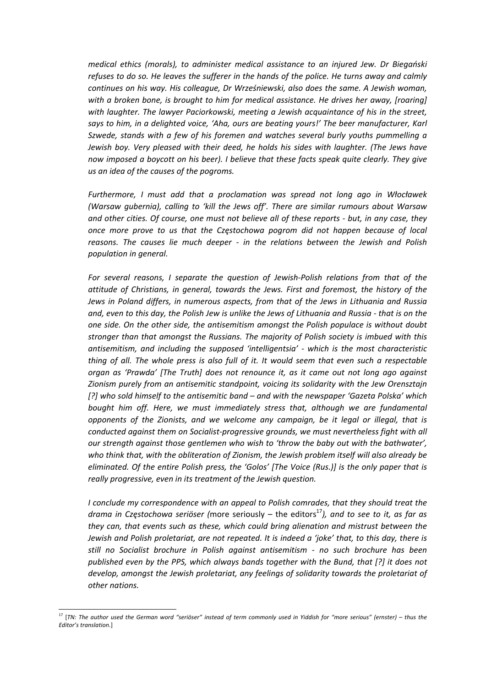*medical ethics (morals), to administer medical assistance to an injured Jew. Dr Biegański* refuses to do so. He leaves the sufferer in the hands of the police. He turns away and calmly *continues on his way. His colleague, Dr Wrześniewski, also does the same. A Jewish woman, with a broken bone, is brought to him for medical assistance. He drives her away, [roaring] with laughter. The lawyer Paciorkowski, meeting a Jewish acquaintance of his in the street, says to him, in a delighted voice, 'Aha, ours are beating yours!' The beer manufacturer, Karl Szwede, stands with a few of his foremen and watches several burly youths pummelling a Jewish boy. Very pleased with their deed, he holds his sides with laughter. (The Jews have now imposed a boycott on his beer). I believe that these facts speak quite clearly. They give us an idea of the causes of the pogroms.* 

*Furthermore, I must add that a proclamation was spread not long ago in Włocławek (Warsaw gubernia), calling to 'kill the Jews off'. There are similar rumours about Warsaw* and other cities. Of course, one must not believe all of these reports - but, in any case, they *once more prove to us that the Częstochowa pogrom did not happen because of local reasons. The causes lie much deeper ‐ in the relations between the Jewish and Polish population in general.* 

*For several reasons, I separate the question of Jewish‐Polish relations from that of the attitude of Christians, in general, towards the Jews. First and foremost, the history of the Jews in Poland differs, in numerous aspects, from that of the Jews in Lithuania and Russia* and, even to this day, the Polish Jew is unlike the Jews of Lithuania and Russia - that is on the *one side. On the other side, the antisemitism amongst the Polish populace is without doubt stronger than that amongst the Russians. The majority of Polish society is imbued with this antisemitism, and including the supposed 'intelligentsia' ‐ which is the most characteristic* thing of all. The whole press is also full of it. It would seem that even such a respectable *organ as 'Prawda' [The Truth] does not renounce it, as it came out not long ago against Zionism purely from an antisemitic standpoint, voicing its solidarity with the Jew Orensztajn [?] who sold himself to the antisemitic band – and with the newspaper 'Gazeta Polska' which bought him off. Here, we must immediately stress that, although we are fundamental opponents of the Zionists, and we welcome any campaign, be it legal or illegal, that is conducted against them on Socialist‐progressive grounds, we must nevertheless fight with all our strength against those gentlemen who wish to 'throw the baby out with the bathwater', who think that, with the obliteration of Zionism, the Jewish problem itself will also already be eliminated. Of the entire Polish press, the 'Golos' [The Voice (Rus.)] is the only paper that is really progressive, even in its treatment of the Jewish question.* 

*I conclude my correspondence with an appeal to Polish comrades, that they should treat the drama in Częstochowa seriöser* (more seriously – the editors<sup>17</sup>), and to see to *it*, *as far as they can, that events such as these, which could bring alienation and mistrust between the Jewish and Polish proletariat, are not repeated. It is indeed a 'joke' that, to this day, there is still no Socialist brochure in Polish against antisemitism ‐ no such brochure has been published even by the PPS, which always bands together with the Bund, that [?] it does not develop, amongst the Jewish proletariat, any feelings of solidarity towards the proletariat of other nations.* 

<sup>&</sup>lt;sup>17</sup> [TN: The author used the German word "seriöser" instead of term commonly used in Yiddish for "more serious" (ernster) – thus the *Editor's translation.*]